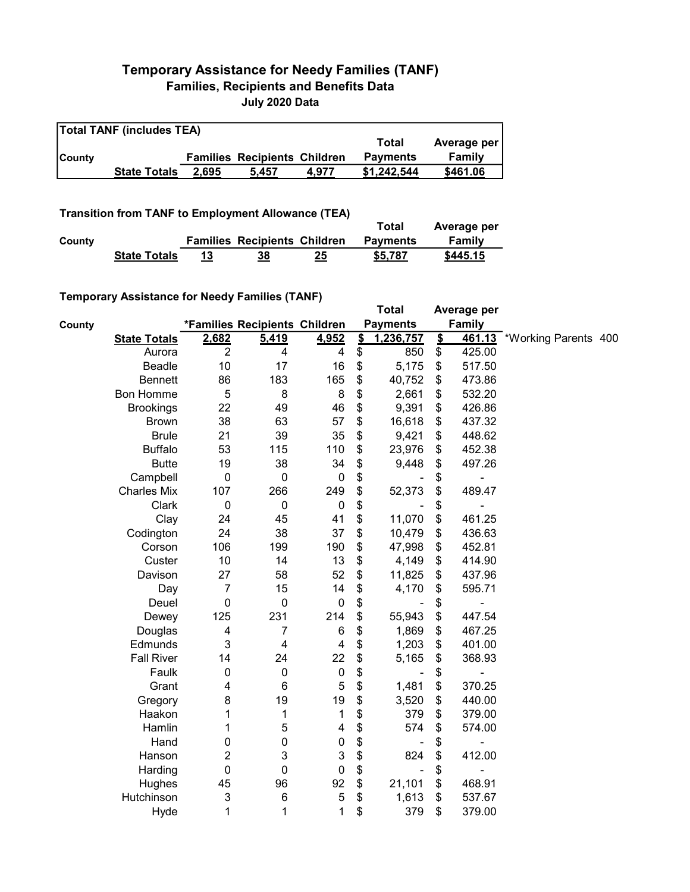## Temporary Assistance for Needy Families (TANF) Families, Recipients and Benefits Data July 2020 Data

| <b>Total TANF (includes TEA)</b> |                     |       |                                     |       |                 |             |  |  |  |
|----------------------------------|---------------------|-------|-------------------------------------|-------|-----------------|-------------|--|--|--|
|                                  |                     |       |                                     |       | Total           | Average per |  |  |  |
| <b>County</b>                    |                     |       | <b>Families Recipients Children</b> |       | <b>Payments</b> | Family      |  |  |  |
|                                  | <b>State Totals</b> | 2.695 | 5.457                               | 4.977 | \$1.242.544     | \$461.06    |  |  |  |

## Transition from TANF to Employment Allowance (TEA)

|        | <b>ITAIISIUVII IIVIII TANT LO EIIIPIOVIIIEIIL AIIUWAIICE (TEA)</b> |    | Total                               | Average per |                 |          |
|--------|--------------------------------------------------------------------|----|-------------------------------------|-------------|-----------------|----------|
| County |                                                                    |    | <b>Families Recipients Children</b> |             | <b>Payments</b> | Family   |
|        | <b>State Totals</b>                                                | 13 | 38                                  | 25          | \$5.787         | \$445.15 |

## Temporary Assistance for Needy Families (TANF)

|        | $\frac{1}{2}$ componently resolved in the result of the control of $\frac{1}{2}$ |                         |                               |                  |                         | <b>Total</b>    |                         | Average per   |                             |  |
|--------|----------------------------------------------------------------------------------|-------------------------|-------------------------------|------------------|-------------------------|-----------------|-------------------------|---------------|-----------------------------|--|
| County |                                                                                  |                         | *Families Recipients Children |                  |                         | <b>Payments</b> |                         | <b>Family</b> |                             |  |
|        | <b>State Totals</b>                                                              | 2,682                   | 5,419                         | 4,952            | $\overline{\mathbf{S}}$ | 1,236,757       | $\overline{\mathbf{S}}$ |               | 461.13 *Working Parents 400 |  |
|        | Aurora                                                                           | $\overline{2}$          | 4                             | 4                | \$                      | 850             | \$                      | 425.00        |                             |  |
|        | Beadle                                                                           | 10                      | 17                            | 16               | \$                      | 5,175           | \$                      | 517.50        |                             |  |
|        | <b>Bennett</b>                                                                   | 86                      | 183                           | 165              | \$                      | 40,752          | \$                      | 473.86        |                             |  |
|        | <b>Bon Homme</b>                                                                 | 5                       | 8                             | 8                | \$                      | 2,661           | \$                      | 532.20        |                             |  |
|        | <b>Brookings</b>                                                                 | 22                      | 49                            | 46               | \$                      | 9,391           | \$                      | 426.86        |                             |  |
|        | <b>Brown</b>                                                                     | 38                      | 63                            | 57               | \$                      | 16,618          | \$                      | 437.32        |                             |  |
|        | <b>Brule</b>                                                                     | 21                      | 39                            | 35               | \$                      | 9,421           | \$                      | 448.62        |                             |  |
|        | <b>Buffalo</b>                                                                   | 53                      | 115                           | 110              | \$                      | 23,976          | \$                      | 452.38        |                             |  |
|        | <b>Butte</b>                                                                     | 19                      | 38                            | 34               | \$                      | 9,448           | \$                      | 497.26        |                             |  |
|        | Campbell                                                                         | $\mathbf 0$             | $\boldsymbol{0}$              | $\pmb{0}$        | \$                      |                 | \$                      | -             |                             |  |
|        | <b>Charles Mix</b>                                                               | 107                     | 266                           | 249              | \$                      | 52,373          | \$                      | 489.47        |                             |  |
|        | Clark                                                                            | $\mathbf 0$             | $\mathbf 0$                   | $\pmb{0}$        | \$                      |                 | \$                      |               |                             |  |
|        | Clay                                                                             | 24                      | 45                            | 41               | \$                      | 11,070          | \$                      | 461.25        |                             |  |
|        | Codington                                                                        | 24                      | 38                            | 37               | \$                      | 10,479          | \$                      | 436.63        |                             |  |
|        | Corson                                                                           | 106                     | 199                           | 190              | \$                      | 47,998          | \$                      | 452.81        |                             |  |
|        | Custer                                                                           | 10                      | 14                            | 13               | \$                      | 4,149           | \$                      | 414.90        |                             |  |
|        | Davison                                                                          | 27                      | 58                            | 52               | \$                      | 11,825          | \$                      | 437.96        |                             |  |
|        | Day                                                                              | $\overline{7}$          | 15                            | 14               | \$                      | 4,170           | \$                      | 595.71        |                             |  |
|        | Deuel                                                                            | $\mathbf 0$             | $\pmb{0}$                     | $\pmb{0}$        | \$                      |                 | \$                      |               |                             |  |
|        | Dewey                                                                            | 125                     | 231                           | 214              | \$                      | 55,943          | \$                      | 447.54        |                             |  |
|        | Douglas                                                                          | $\overline{\mathbf{4}}$ | $\overline{7}$                | $\,6$            | \$                      | 1,869           | \$                      | 467.25        |                             |  |
|        | Edmunds                                                                          | 3                       | $\overline{\mathbf{4}}$       | $\overline{4}$   | \$                      | 1,203           | \$                      | 401.00        |                             |  |
|        | <b>Fall River</b>                                                                | 14                      | 24                            | 22               | \$                      | 5,165           | \$                      | 368.93        |                             |  |
|        | Faulk                                                                            | $\boldsymbol{0}$        | $\pmb{0}$                     | $\pmb{0}$        | \$                      |                 | \$                      |               |                             |  |
|        | Grant                                                                            | 4                       | $6\phantom{1}6$               | $\mathbf 5$      | \$                      | 1,481           | \$                      | 370.25        |                             |  |
|        | Gregory                                                                          | 8                       | 19                            | 19               | \$                      | 3,520           | \$                      | 440.00        |                             |  |
|        | Haakon                                                                           | 1                       | 1                             | 1                | \$                      | 379             | \$                      | 379.00        |                             |  |
|        | Hamlin                                                                           | 1                       | 5                             | 4                | \$                      | 574             | \$                      | 574.00        |                             |  |
|        | Hand                                                                             | 0                       | 0                             | $\boldsymbol{0}$ | \$                      |                 | \$                      |               |                             |  |
|        | Hanson                                                                           | 2                       | 3                             | 3                | \$                      | 824             | \$                      | 412.00        |                             |  |
|        | Harding                                                                          | $\mathbf 0$             | $\mathbf 0$                   | $\mathbf 0$      | \$                      |                 | \$                      | -             |                             |  |
|        | Hughes                                                                           | 45                      | 96                            | 92               | \$                      | 21,101          | \$                      | 468.91        |                             |  |
|        | Hutchinson                                                                       | 3                       | $\,6$                         | $\mathbf 5$      | \$                      | 1,613           | \$                      | 537.67        |                             |  |
|        | Hyde                                                                             | 1                       | $\mathbf{1}$                  | 1                | \$                      | 379             | \$                      | 379.00        |                             |  |